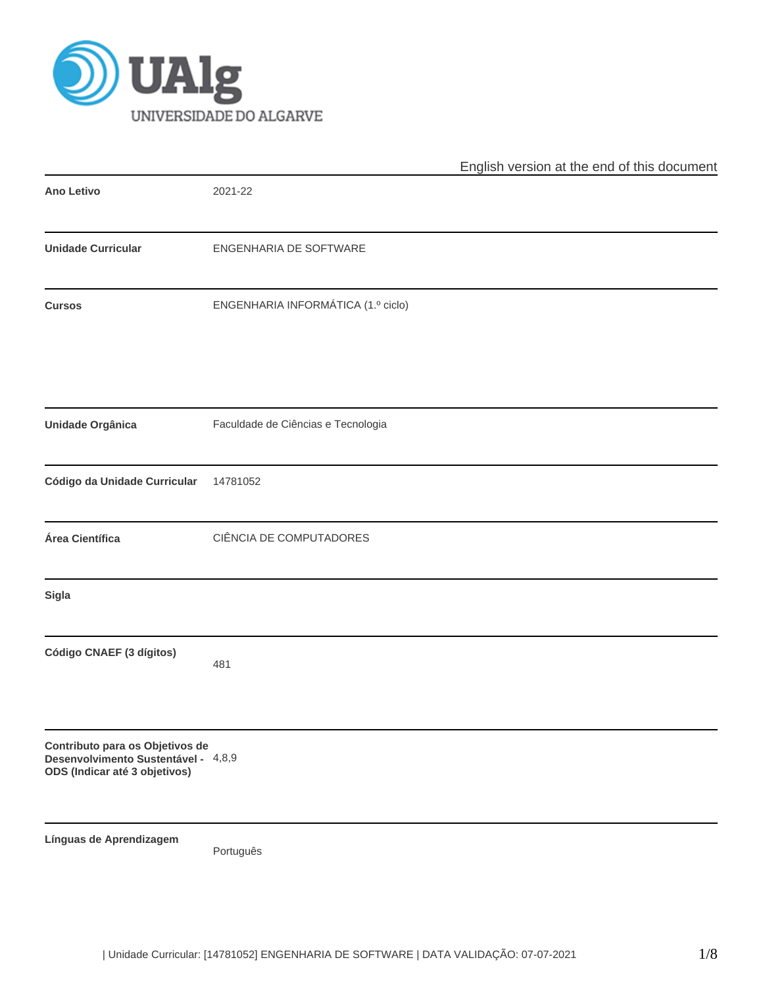

|                                                                                                         |                                    | English version at the end of this document |
|---------------------------------------------------------------------------------------------------------|------------------------------------|---------------------------------------------|
| <b>Ano Letivo</b>                                                                                       | 2021-22                            |                                             |
| <b>Unidade Curricular</b>                                                                               | ENGENHARIA DE SOFTWARE             |                                             |
| <b>Cursos</b>                                                                                           | ENGENHARIA INFORMÁTICA (1.º ciclo) |                                             |
| <b>Unidade Orgânica</b>                                                                                 | Faculdade de Ciências e Tecnologia |                                             |
| Código da Unidade Curricular                                                                            | 14781052                           |                                             |
| Área Científica                                                                                         | CIÊNCIA DE COMPUTADORES            |                                             |
| Sigla                                                                                                   |                                    |                                             |
| Código CNAEF (3 dígitos)                                                                                | 481                                |                                             |
| Contributo para os Objetivos de<br>Desenvolvimento Sustentável - 4,8,9<br>ODS (Indicar até 3 objetivos) |                                    |                                             |
| Línguas de Aprendizagem                                                                                 | Português                          |                                             |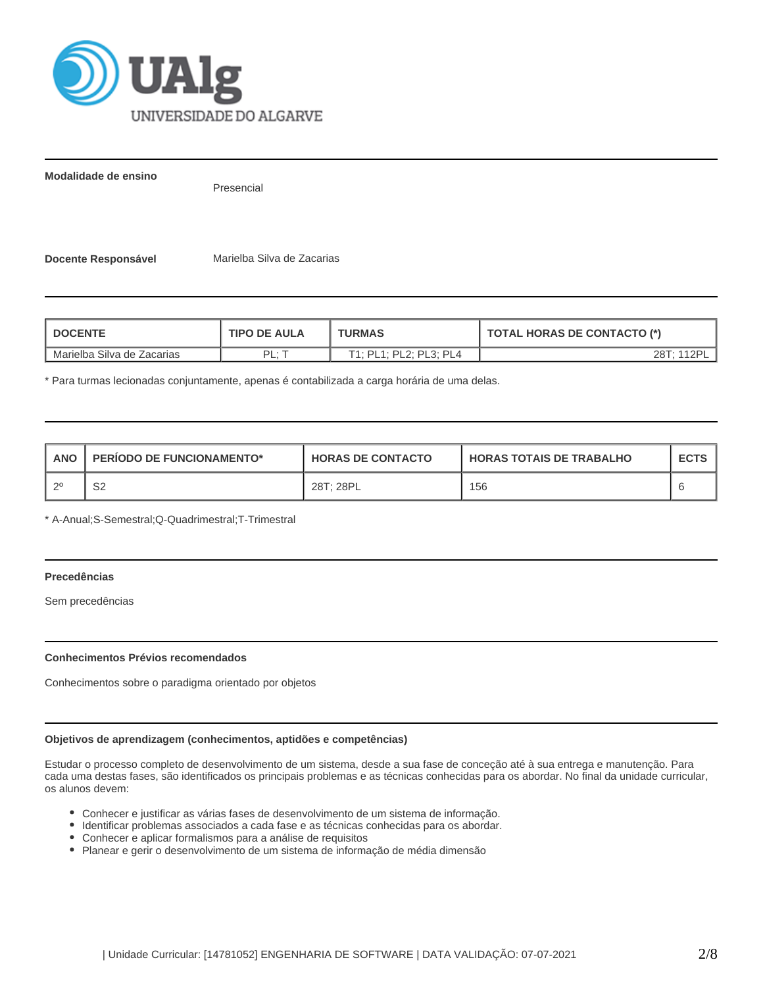

**Modalidade de ensino**

Presencial

**Docente Responsável** Marielba Silva de Zacarias

| <b>DOCENTE</b>             | <b>TIPO DE AULA</b> | <b>TURMAS</b>          | <b>TOTAL HORAS DE CONTACTO (*)</b> |  |  |  |
|----------------------------|---------------------|------------------------|------------------------------------|--|--|--|
| Marielba Silva de Zacarias | DI .                | T1: PL1: PL2: PL3: PL4 | 28T: 112PI                         |  |  |  |

\* Para turmas lecionadas conjuntamente, apenas é contabilizada a carga horária de uma delas.

| <b>ANO</b> | <b>PERIODO DE FUNCIONAMENTO*</b> | <b>HORAS DE CONTACTO</b> | <b>HORAS TOTAIS DE TRABALHO</b> | <b>ECTS</b> |
|------------|----------------------------------|--------------------------|---------------------------------|-------------|
| <u>າດ</u>  | ົ<br>ےت                          | 28T; 28PL                | 156                             |             |

\* A-Anual;S-Semestral;Q-Quadrimestral;T-Trimestral

# **Precedências**

Sem precedências

## **Conhecimentos Prévios recomendados**

Conhecimentos sobre o paradigma orientado por objetos

## **Objetivos de aprendizagem (conhecimentos, aptidões e competências)**

Estudar o processo completo de desenvolvimento de um sistema, desde a sua fase de conceção até à sua entrega e manutenção. Para cada uma destas fases, são identificados os principais problemas e as técnicas conhecidas para os abordar. No final da unidade curricular, os alunos devem:

- Conhecer e justificar as várias fases de desenvolvimento de um sistema de informação.
- Identificar problemas associados a cada fase e as técnicas conhecidas para os abordar.
- Conhecer e aplicar formalismos para a análise de requisitos
- Planear e gerir o desenvolvimento de um sistema de informação de média dimensão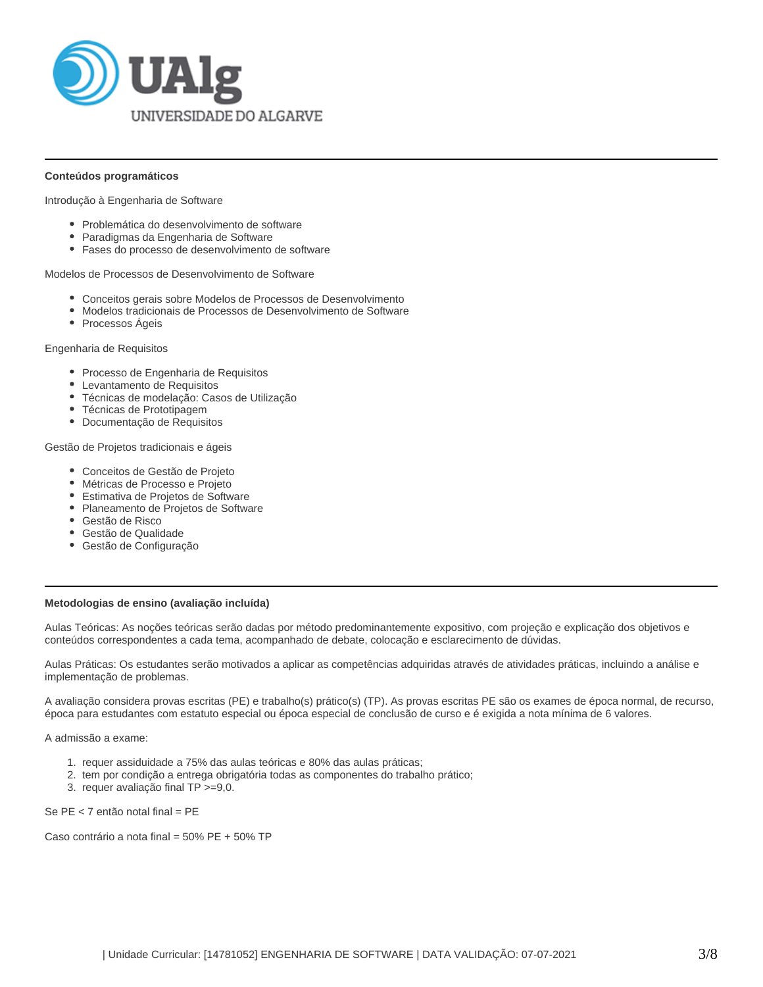

## **Conteúdos programáticos**

Introdução à Engenharia de Software

- Problemática do desenvolvimento de software
- Paradigmas da Engenharia de Software
- Fases do processo de desenvolvimento de software

Modelos de Processos de Desenvolvimento de Software

- Conceitos gerais sobre Modelos de Processos de Desenvolvimento
- Modelos tradicionais de Processos de Desenvolvimento de Software
- Processos Ágeis

Engenharia de Requisitos

- Processo de Engenharia de Requisitos
- Levantamento de Requisitos
- Técnicas de modelação: Casos de Utilização
- Técnicas de Prototipagem
- Documentação de Requisitos

Gestão de Projetos tradicionais e ágeis

- Conceitos de Gestão de Projeto
- Métricas de Processo e Projeto
- Estimativa de Projetos de Software
- Planeamento de Projetos de Software
- Gestão de Risco
- Gestão de Qualidade
- Gestão de Configuração

## **Metodologias de ensino (avaliação incluída)**

Aulas Teóricas: As noções teóricas serão dadas por método predominantemente expositivo, com projeção e explicação dos objetivos e conteúdos correspondentes a cada tema, acompanhado de debate, colocação e esclarecimento de dúvidas.

Aulas Práticas: Os estudantes serão motivados a aplicar as competências adquiridas através de atividades práticas, incluindo a análise e implementação de problemas.

A avaliação considera provas escritas (PE) e trabalho(s) prático(s) (TP). As provas escritas PE são os exames de época normal, de recurso, época para estudantes com estatuto especial ou época especial de conclusão de curso e é exigida a nota mínima de 6 valores.

A admissão a exame:

- 1. requer assiduidade a 75% das aulas teóricas e 80% das aulas práticas;
- 2. tem por condição a entrega obrigatória todas as componentes do trabalho prático;
- 3. requer avaliação final TP >=9,0.

Se PE < 7 então notal final = PE

Caso contrário a nota final = 50% PE + 50% TP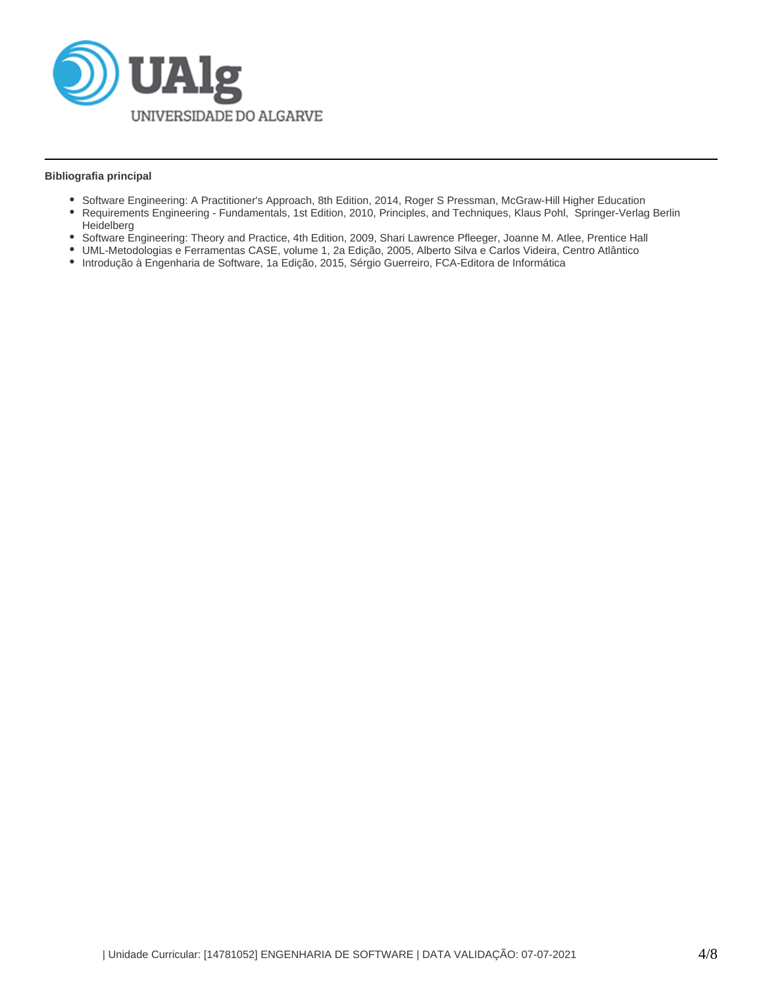

## **Bibliografia principal**

- Software Engineering: A Practitioner's Approach, 8th Edition, 2014, Roger S Pressman, McGraw-Hill Higher Education
- Requirements Engineering Fundamentals, 1st Edition, 2010, Principles, and Techniques, Klaus Pohl, Springer-Verlag Berlin **Heidelberg**
- Software Engineering: Theory and Practice, 4th Edition, 2009, Shari Lawrence Pfleeger, Joanne M. Atlee, Prentice Hall
- UML-Metodologias e Ferramentas CASE, volume 1, 2a Edição, 2005, Alberto Silva e Carlos Videira, Centro Atlântico
- Introdução à Engenharia de Software, 1a Edição, 2015, Sérgio Guerreiro, FCA-Editora de Informática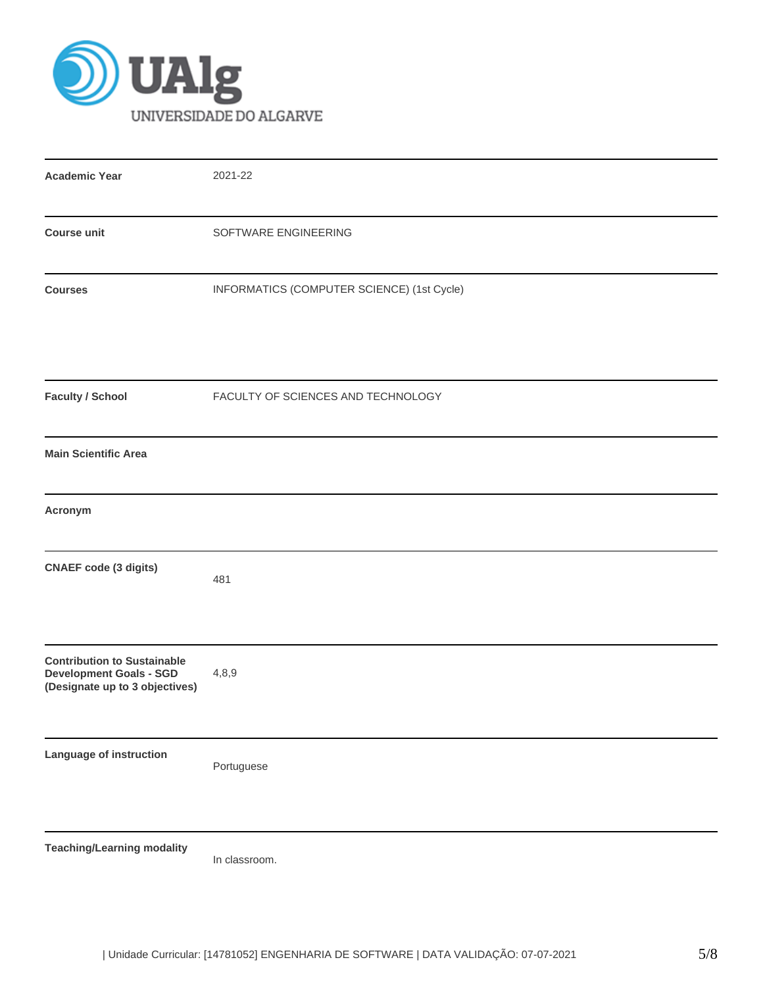

| <b>Academic Year</b>                                                                                   | 2021-22                                    |
|--------------------------------------------------------------------------------------------------------|--------------------------------------------|
| <b>Course unit</b>                                                                                     | SOFTWARE ENGINEERING                       |
| <b>Courses</b>                                                                                         | INFORMATICS (COMPUTER SCIENCE) (1st Cycle) |
| <b>Faculty / School</b>                                                                                | FACULTY OF SCIENCES AND TECHNOLOGY         |
| <b>Main Scientific Area</b>                                                                            |                                            |
| Acronym                                                                                                |                                            |
| <b>CNAEF</b> code (3 digits)                                                                           | 481                                        |
| <b>Contribution to Sustainable</b><br><b>Development Goals - SGD</b><br>(Designate up to 3 objectives) | 4,8,9                                      |
| Language of instruction                                                                                | Portuguese                                 |
| <b>Teaching/Learning modality</b>                                                                      | In classroom.                              |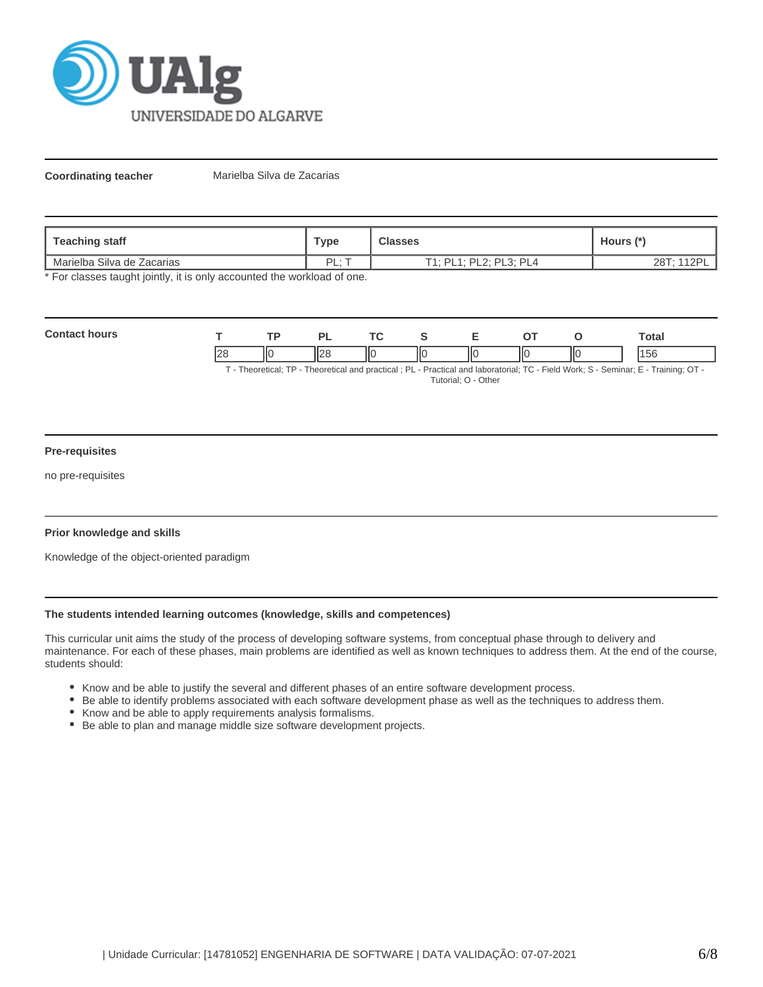

**Coordinating teacher** Marielba Silva de Zacarias

| Teaching staff             | Туре | <b>Classes</b>                     | Hours (*)  |
|----------------------------|------|------------------------------------|------------|
| Marielba Silva de Zacarias | DI   | PL2: PL3: PL4<br>F1 · DI 1 ·<br>н. | 28T; 112PI |

\* For classes taught jointly, it is only accounted the workload of one.

| $C_{\Omega}$ |                        |    | D. | <b>Trea</b> |     |    |    | <b>Total</b> |
|--------------|------------------------|----|----|-------------|-----|----|----|--------------|
|              | $\Omega$<br>$\epsilon$ | ١К |    | -lic        | l C | IЮ | ШC | эc           |

T - Theoretical; TP - Theoretical and practical ; PL - Practical and laboratorial; TC - Field Work; S - Seminar; E - Training; OT - Tutorial; O - Other

## **Pre-requisites**

no pre-requisites

## **Prior knowledge and skills**

Knowledge of the object-oriented paradigm

## **The students intended learning outcomes (knowledge, skills and competences)**

This curricular unit aims the study of the process of developing software systems, from conceptual phase through to delivery and maintenance. For each of these phases, main problems are identified as well as known techniques to address them. At the end of the course, students should:

- Know and be able to justify the several and different phases of an entire software development process.
- Be able to identify problems associated with each software development phase as well as the techniques to address them.
- Know and be able to apply requirements analysis formalisms.
- Be able to plan and manage middle size software development projects.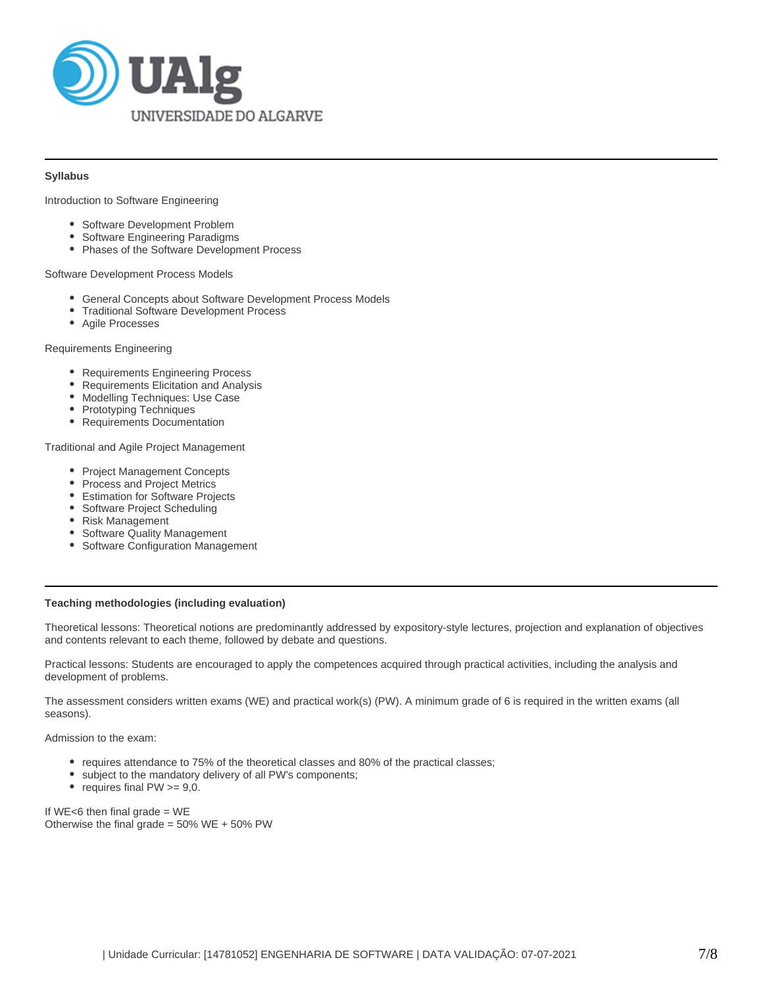

## **Syllabus**

Introduction to Software Engineering

- Software Development Problem
- Software Engineering Paradigms
- $\bullet$ Phases of the Software Development Process

#### Software Development Process Models

- General Concepts about Software Development Process Models
- Traditional Software Development Process
- Agile Processes

#### Requirements Engineering

- Requirements Engineering Process
- Requirements Elicitation and Analysis  $\bullet$
- Modelling Techniques: Use Case
- Prototyping Techniques
- Requirements Documentation

#### Traditional and Agile Project Management

- Project Management Concepts
- Process and Project Metrics
- Estimation for Software Projects
- Software Project Scheduling
- Risk Management
- Software Quality Management
- Software Configuration Management

## **Teaching methodologies (including evaluation)**

Theoretical lessons: Theoretical notions are predominantly addressed by expository-style lectures, projection and explanation of objectives and contents relevant to each theme, followed by debate and questions.

Practical lessons: Students are encouraged to apply the competences acquired through practical activities, including the analysis and development of problems.

The assessment considers written exams (WE) and practical work(s) (PW). A minimum grade of 6 is required in the written exams (all seasons).

Admission to the exam:

- requires attendance to 75% of the theoretical classes and 80% of the practical classes;
- subject to the mandatory delivery of all PW's components;
- requires final  $PW \ge 9,0$ .

If  $WE < 6$  then final grade = WE Otherwise the final grade =  $50\%$  WE +  $50\%$  PW